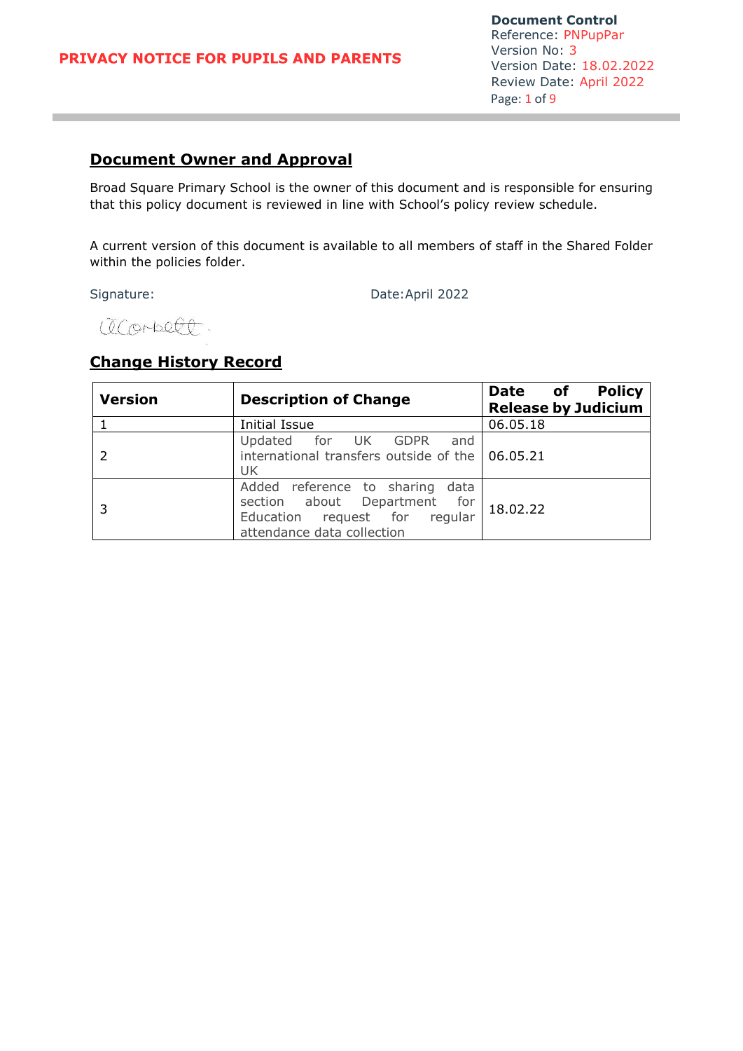# **Document Owner and Approval**

Broad Square Primary School is the owner of this document and is responsible for ensuring that this policy document is reviewed in line with School's policy review schedule.

A current version of this document is available to all members of staff in the Shared Folder within the policies folder.

Signature: Date:April 2022

(DC Orbect

# **Change History Record**

| <b>Version</b> | <b>Description of Change</b>                                                                                                   | <b>Policy</b><br>Date of<br><b>Release by Judicium</b> |
|----------------|--------------------------------------------------------------------------------------------------------------------------------|--------------------------------------------------------|
|                | <b>Initial Issue</b>                                                                                                           | 06.05.18                                               |
|                | Updated for UK GDPR<br>and<br>international transfers outside of the   06.05.21<br>UK                                          |                                                        |
|                | Added reference to sharing data<br>section about Department for<br>Education request for regular<br>attendance data collection | 18.02.22                                               |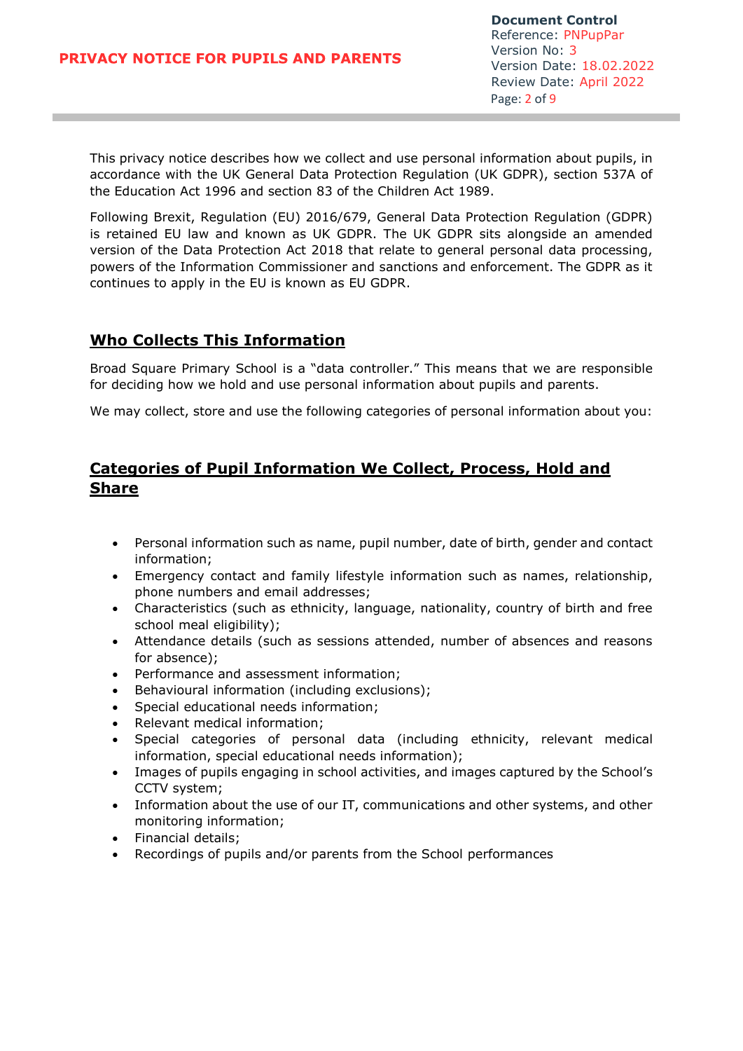This privacy notice describes how we collect and use personal information about pupils, in accordance with the UK General Data Protection Regulation (UK GDPR), section 537A of the Education Act 1996 and section 83 of the Children Act 1989.

Following Brexit, Regulation (EU) 2016/679, General Data Protection Regulation (GDPR) is retained EU law and known as UK GDPR. The UK GDPR sits alongside an amended version of the Data Protection Act 2018 that relate to general personal data processing, powers of the Information Commissioner and sanctions and enforcement. The GDPR as it continues to apply in the EU is known as EU GDPR.

#### **Who Collects This Information**

Broad Square Primary School is a "data controller." This means that we are responsible for deciding how we hold and use personal information about pupils and parents.

We may collect, store and use the following categories of personal information about you:

# **Categories of Pupil Information We Collect, Process, Hold and Share**

- Personal information such as name, pupil number, date of birth, gender and contact information;
- Emergency contact and family lifestyle information such as names, relationship, phone numbers and email addresses;
- Characteristics (such as ethnicity, language, nationality, country of birth and free school meal eligibility);
- Attendance details (such as sessions attended, number of absences and reasons for absence);
- Performance and assessment information;
- Behavioural information (including exclusions);
- Special educational needs information;
- Relevant medical information;
- Special categories of personal data (including ethnicity, relevant medical information, special educational needs information);
- Images of pupils engaging in school activities, and images captured by the School's CCTV system;
- Information about the use of our IT, communications and other systems, and other monitoring information;
- Financial details;
- Recordings of pupils and/or parents from the School performances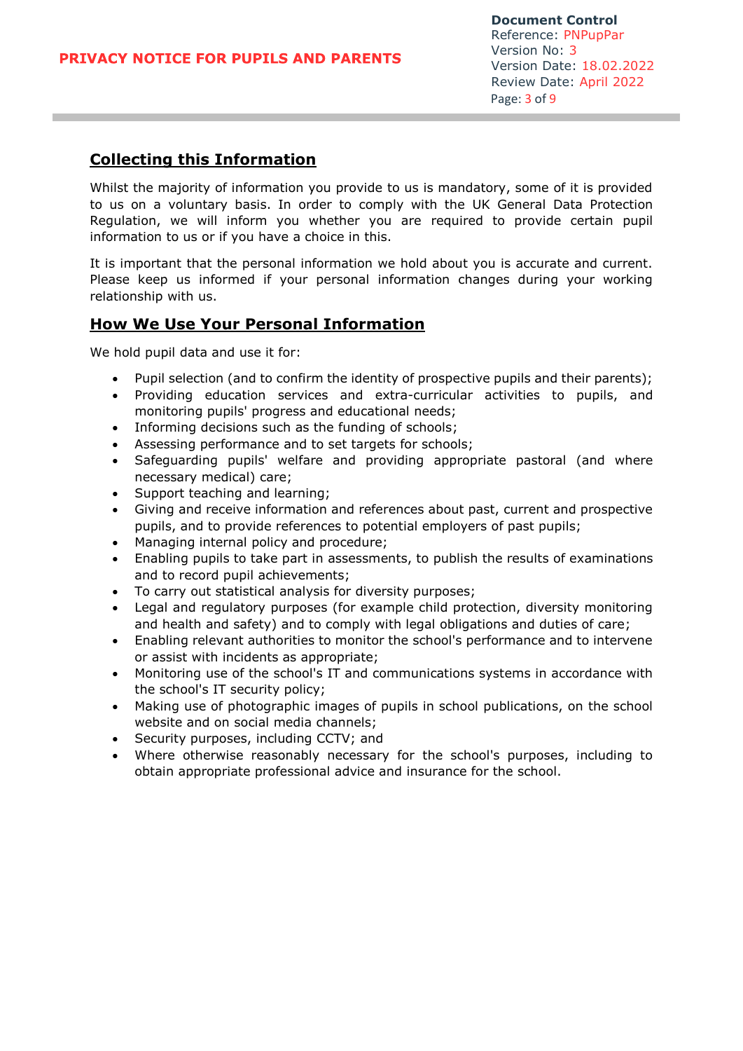# **Collecting this Information**

Whilst the majority of information you provide to us is mandatory, some of it is provided to us on a voluntary basis. In order to comply with the UK General Data Protection Regulation, we will inform you whether you are required to provide certain pupil information to us or if you have a choice in this.

It is important that the personal information we hold about you is accurate and current. Please keep us informed if your personal information changes during your working relationship with us.

#### **How We Use Your Personal Information**

We hold pupil data and use it for:

- Pupil selection (and to confirm the identity of prospective pupils and their parents);
- Providing education services and extra-curricular activities to pupils, and monitoring pupils' progress and educational needs;
- Informing decisions such as the funding of schools;
- Assessing performance and to set targets for schools;
- Safeguarding pupils' welfare and providing appropriate pastoral (and where necessary medical) care;
- Support teaching and learning;
- Giving and receive information and references about past, current and prospective pupils, and to provide references to potential employers of past pupils;
- Managing internal policy and procedure;
- Enabling pupils to take part in assessments, to publish the results of examinations and to record pupil achievements;
- To carry out statistical analysis for diversity purposes;
- Legal and regulatory purposes (for example child protection, diversity monitoring and health and safety) and to comply with legal obligations and duties of care;
- Enabling relevant authorities to monitor the school's performance and to intervene or assist with incidents as appropriate;
- Monitoring use of the school's IT and communications systems in accordance with the school's IT security policy;
- Making use of photographic images of pupils in school publications, on the school website and on social media channels;
- Security purposes, including CCTV; and
- Where otherwise reasonably necessary for the school's purposes, including to obtain appropriate professional advice and insurance for the school.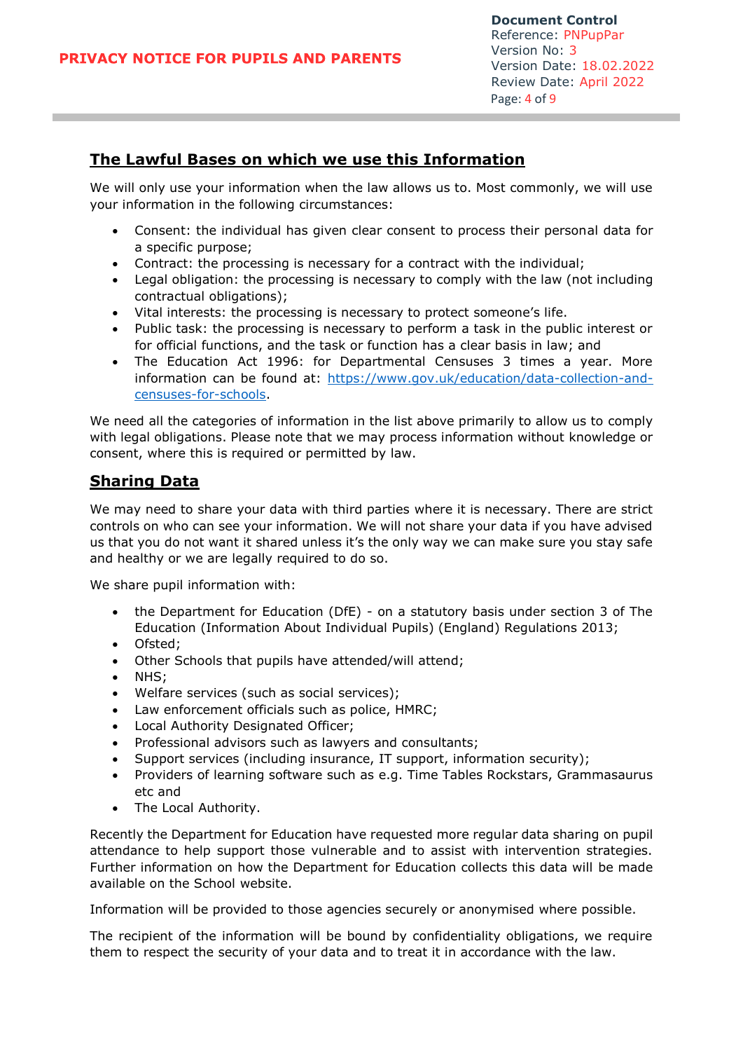#### **The Lawful Bases on which we use this Information**

We will only use your information when the law allows us to. Most commonly, we will use your information in the following circumstances:

- Consent: the individual has given clear consent to process their personal data for a specific purpose;
- Contract: the processing is necessary for a contract with the individual;
- Legal obligation: the processing is necessary to comply with the law (not including contractual obligations);
- Vital interests: the processing is necessary to protect someone's life.
- Public task: the processing is necessary to perform a task in the public interest or for official functions, and the task or function has a clear basis in law; and
- The Education Act 1996: for Departmental Censuses 3 times a year. More information can be found at: [https://www.gov.uk/education/data-collection-and](https://www.gov.uk/education/data-collection-and-censuses-for-schools)[censuses-for-schools.](https://www.gov.uk/education/data-collection-and-censuses-for-schools)

We need all the categories of information in the list above primarily to allow us to comply with legal obligations. Please note that we may process information without knowledge or consent, where this is required or permitted by law.

## **Sharing Data**

We may need to share your data with third parties where it is necessary. There are strict controls on who can see your information. We will not share your data if you have advised us that you do not want it shared unless it's the only way we can make sure you stay safe and healthy or we are legally required to do so.

We share pupil information with:

- the Department for Education (DfE) on a statutory basis under section 3 of The Education (Information About Individual Pupils) (England) Regulations 2013;
- Ofsted:
- Other Schools that pupils have attended/will attend;
- NHS;
- Welfare services (such as social services);
- Law enforcement officials such as police, HMRC;
- Local Authority Designated Officer;
- Professional advisors such as lawyers and consultants;
- Support services (including insurance, IT support, information security);
- Providers of learning software such as e.g. Time Tables Rockstars, Grammasaurus etc and
- The Local Authority.

Recently the Department for Education have requested more regular data sharing on pupil attendance to help support those vulnerable and to assist with intervention strategies. Further information on how the Department for Education collects this data will be made available on the School website.

Information will be provided to those agencies securely or anonymised where possible.

The recipient of the information will be bound by confidentiality obligations, we require them to respect the security of your data and to treat it in accordance with the law.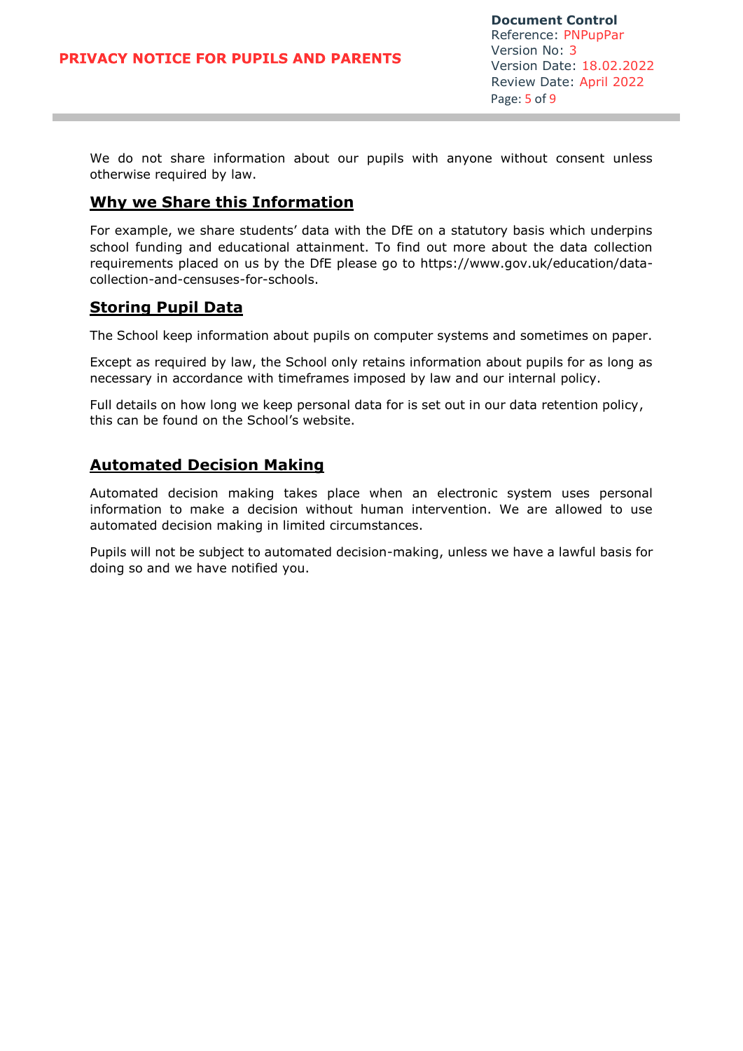We do not share information about our pupils with anyone without consent unless otherwise required by law.

# **Why we Share this Information**

For example, we share students' data with the DfE on a statutory basis which underpins school funding and educational attainment. To find out more about the data collection requirements placed on us by the DfE please go to https://www.gov.uk/education/datacollection-and-censuses-for-schools.

#### **Storing Pupil Data**

The School keep information about pupils on computer systems and sometimes on paper.

Except as required by law, the School only retains information about pupils for as long as necessary in accordance with timeframes imposed by law and our internal policy.

Full details on how long we keep personal data for is set out in our data retention policy, this can be found on the School's website.

## **Automated Decision Making**

Automated decision making takes place when an electronic system uses personal information to make a decision without human intervention. We are allowed to use automated decision making in limited circumstances.

Pupils will not be subject to automated decision-making, unless we have a lawful basis for doing so and we have notified you.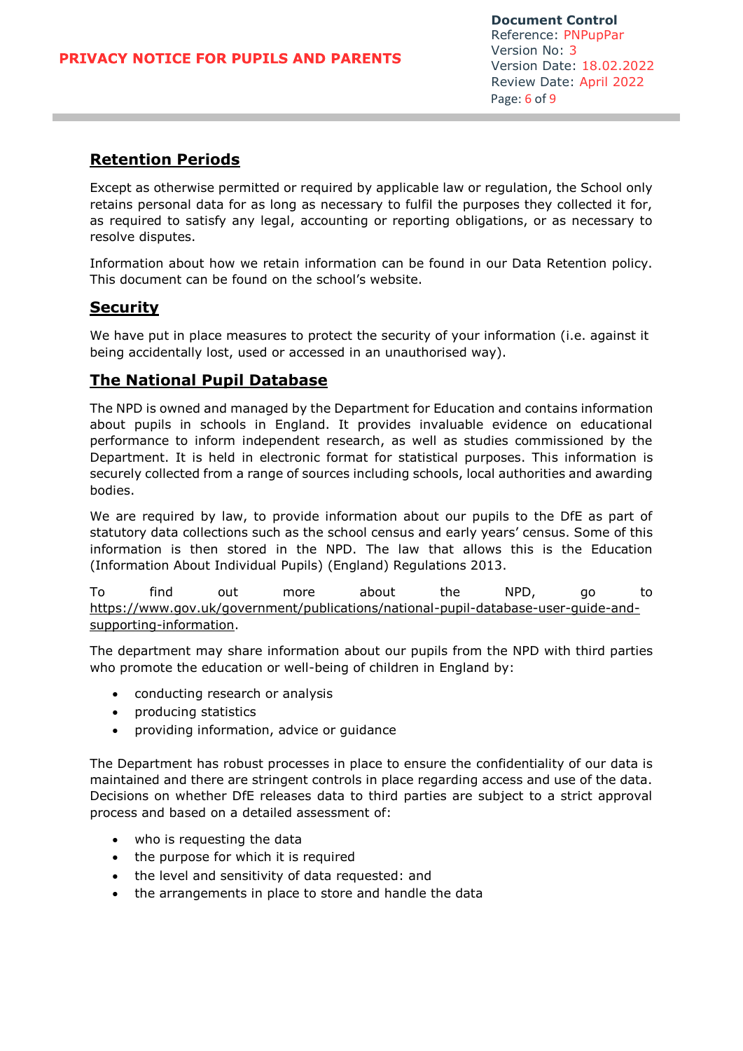# **Retention Periods**

Except as otherwise permitted or required by applicable law or regulation, the School only retains personal data for as long as necessary to fulfil the purposes they collected it for, as required to satisfy any legal, accounting or reporting obligations, or as necessary to resolve disputes.

Information about how we retain information can be found in our Data Retention policy. This document can be found on the school's website.

#### **Security**

We have put in place measures to protect the security of your information (i.e. against it being accidentally lost, used or accessed in an unauthorised way).

## **The National Pupil Database**

The NPD is owned and managed by the Department for Education and contains information about pupils in schools in England. It provides invaluable evidence on educational performance to inform independent research, as well as studies commissioned by the Department. It is held in electronic format for statistical purposes. This information is securely collected from a range of sources including schools, local authorities and awarding bodies.

We are required by law, to provide information about our pupils to the DfE as part of statutory data collections such as the school census and early years' census. Some of this information is then stored in the NPD. The law that allows this is the Education (Information About Individual Pupils) (England) Regulations 2013.

To find out more about the NPD, go to [https://www.gov.uk/government/publications/national-pupil-database-user-guide-and](https://www.gov.uk/government/publications/national-pupil-database-user-guide-and-supporting-information)[supporting-information.](https://www.gov.uk/government/publications/national-pupil-database-user-guide-and-supporting-information)

The department may share information about our pupils from the NPD with third parties who promote the education or well-being of children in England by:

- conducting research or analysis
- producing statistics
- providing information, advice or guidance

The Department has robust processes in place to ensure the confidentiality of our data is maintained and there are stringent controls in place regarding access and use of the data. Decisions on whether DfE releases data to third parties are subject to a strict approval process and based on a detailed assessment of:

- who is requesting the data
- the purpose for which it is required
- the level and sensitivity of data requested: and
- the arrangements in place to store and handle the data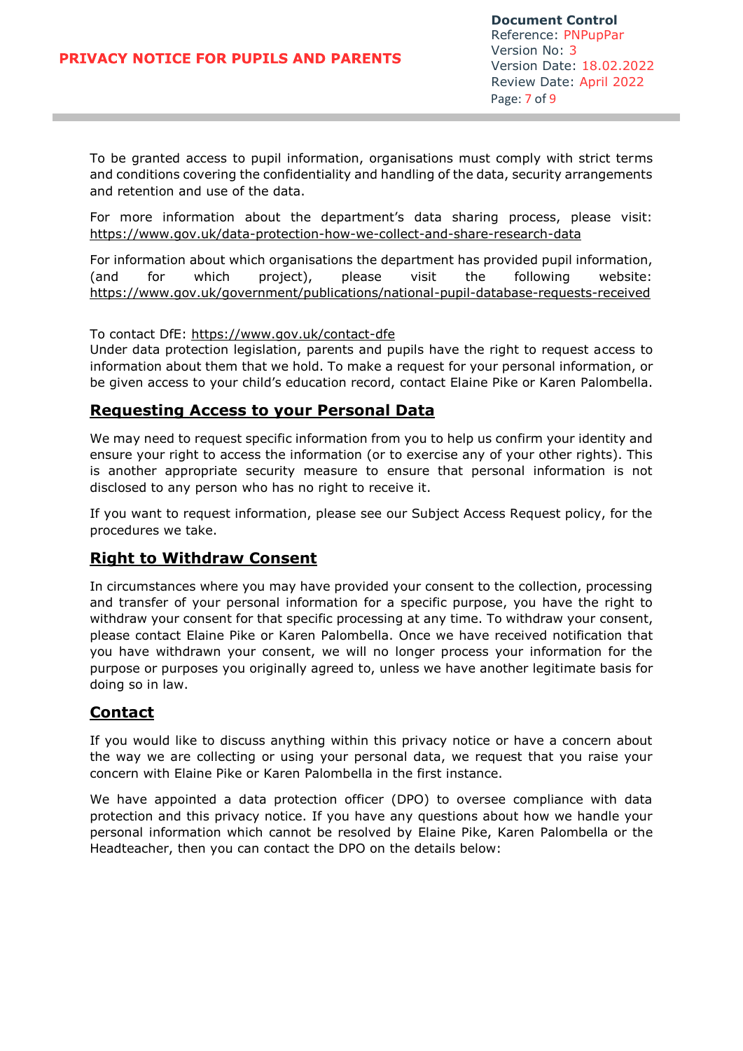To be granted access to pupil information, organisations must comply with strict terms and conditions covering the confidentiality and handling of the data, security arrangements and retention and use of the data.

For more information about the department's data sharing process, please visit: <https://www.gov.uk/data-protection-how-we-collect-and-share-research-data>

For information about which organisations the department has provided pupil information, (and for which project), please visit the following website: <https://www.gov.uk/government/publications/national-pupil-database-requests-received>

#### To contact DfE:<https://www.gov.uk/contact-dfe>

Under data protection legislation, parents and pupils have the right to request access to information about them that we hold. To make a request for your personal information, or be given access to your child's education record, contact Elaine Pike or Karen Palombella.

#### **Requesting Access to your Personal Data**

We may need to request specific information from you to help us confirm your identity and ensure your right to access the information (or to exercise any of your other rights). This is another appropriate security measure to ensure that personal information is not disclosed to any person who has no right to receive it.

If you want to request information, please see our Subject Access Request policy, for the procedures we take.

## **Right to Withdraw Consent**

In circumstances where you may have provided your consent to the collection, processing and transfer of your personal information for a specific purpose, you have the right to withdraw your consent for that specific processing at any time. To withdraw your consent, please contact Elaine Pike or Karen Palombella. Once we have received notification that you have withdrawn your consent, we will no longer process your information for the purpose or purposes you originally agreed to, unless we have another legitimate basis for doing so in law.

## **Contact**

If you would like to discuss anything within this privacy notice or have a concern about the way we are collecting or using your personal data, we request that you raise your concern with Elaine Pike or Karen Palombella in the first instance.

We have appointed a data protection officer (DPO) to oversee compliance with data protection and this privacy notice. If you have any questions about how we handle your personal information which cannot be resolved by Elaine Pike, Karen Palombella or the Headteacher, then you can contact the DPO on the details below: